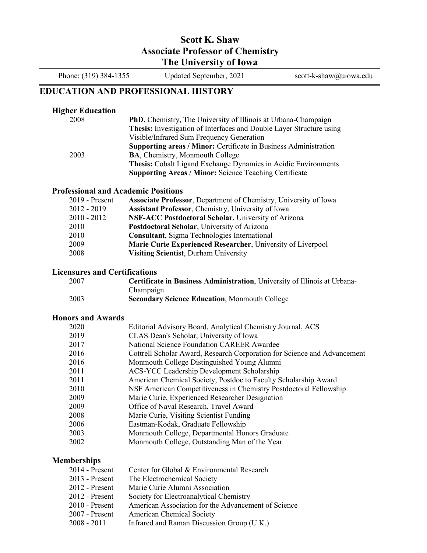## **Scott K. Shaw Associate Professor of Chemistry The University of Iowa**

Phone: (319) 384-1355 Updated September, 2021 scott-k-shaw@uiowa.edu

## **EDUCATION AND PROFESSIONAL HISTORY**

### **Higher Education**

| 2008 | <b>PhD</b> , Chemistry, The University of Illinois at Urbana-Champaign  |
|------|-------------------------------------------------------------------------|
|      | Thesis: Investigation of Interfaces and Double Layer Structure using    |
|      | Visible/Infrared Sum Frequency Generation                               |
|      | <b>Supporting areas / Minor:</b> Certificate in Business Administration |
| 2003 | <b>BA, Chemistry, Monmouth College</b>                                  |
|      | <b>Thesis:</b> Cobalt Ligand Exchange Dynamics in Acidic Environments   |
|      | <b>Supporting Areas / Minor: Science Teaching Certificate</b>           |

## **Professional and Academic Positions**

| <b>Assistant Professor, Chemistry, University of Iowa</b><br>2012 - 2019 |  |
|--------------------------------------------------------------------------|--|
|                                                                          |  |
| NSF-ACC Postdoctoral Scholar, University of Arizona<br>$2010 - 2012$     |  |
| Postdoctoral Scholar, University of Arizona<br>2010                      |  |
| <b>Consultant</b> , Sigma Technologies International<br>2010             |  |
| 2009<br>Marie Curie Experienced Researcher, University of Liverpool      |  |
| 2008<br><b>Visiting Scientist, Durham University</b>                     |  |

## **Licensures and Certifications**

| 2007 | Certificate in Business Administration, University of Illinois at Urbana- |
|------|---------------------------------------------------------------------------|
|      | Champaign                                                                 |
| 2003 | <b>Secondary Science Education, Monmouth College</b>                      |

#### **Honors and Awards**

| 2020 | Editorial Advisory Board, Analytical Chemistry Journal, ACS              |
|------|--------------------------------------------------------------------------|
| 2019 | CLAS Dean's Scholar, University of Iowa                                  |
| 2017 | National Science Foundation CAREER Awardee                               |
| 2016 | Cottrell Scholar Award, Research Corporation for Science and Advancement |
| 2016 | Monmouth College Distinguished Young Alumni                              |
| 2011 | <b>ACS-YCC Leadership Development Scholarship</b>                        |
| 2011 | American Chemical Society, Postdoc to Faculty Scholarship Award          |
| 2010 | NSF American Competitiveness in Chemistry Postdoctoral Fellowship        |
| 2009 | Marie Curie, Experienced Researcher Designation                          |
| 2009 | Office of Naval Research, Travel Award                                   |
| 2008 | Marie Curie, Visiting Scientist Funding                                  |
| 2006 | Eastman-Kodak, Graduate Fellowship                                       |
| 2003 | Monmouth College, Departmental Honors Graduate                           |
| 2002 | Monmouth College, Outstanding Man of the Year                            |
|      |                                                                          |

#### **Memberships**

- 2014 Present Center for Global & Environmental Research
- 2013 Present The Electrochemical Society
- 2012 Present Marie Curie Alumni Association
- 2012 Present Society for Electroanalytical Chemistry
- 2010 Present American Association for the Advancement of Science
- 2007 Present American Chemical Society
- 2008 2011 Infrared and Raman Discussion Group (U.K.)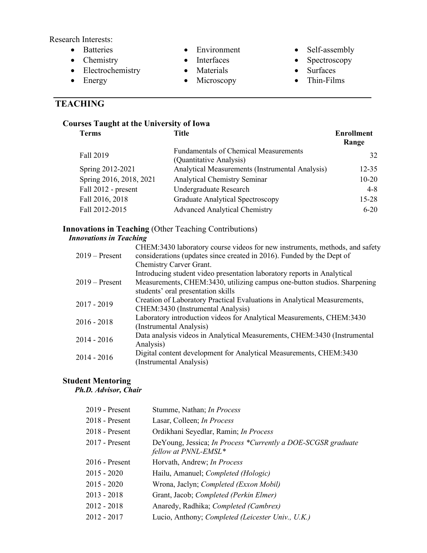Research Interests:

- Batteries
- Chemistry
- Electrochemistry
- Energy

# **TEACHING**

## • Environment

- Interfaces
- Materials
- Microscopy
- 
- Self-assembly
- Spectroscopy
- Surfaces
- Thin-Films

## **Courses Taught at the University of Iowa**

| <b>Terms</b>            | Title                                                                   | <b>Enrollment</b><br>Range |
|-------------------------|-------------------------------------------------------------------------|----------------------------|
| Fall 2019               | <b>Fundamentals of Chemical Measurements</b><br>(Quantitative Analysis) | 32                         |
| Spring 2012-2021        | Analytical Measurements (Instrumental Analysis)                         | $12 - 35$                  |
| Spring 2016, 2018, 2021 | <b>Analytical Chemistry Seminar</b>                                     | $10 - 20$                  |
| Fall 2012 - present     | Undergraduate Research                                                  | $4 - 8$                    |
| Fall 2016, 2018         | <b>Graduate Analytical Spectroscopy</b>                                 | $15 - 28$                  |
| Fall 2012-2015          | <b>Advanced Analytical Chemistry</b>                                    | $6-20$                     |

## **Innovations in Teaching** (Other Teaching Contributions)

## *Innovations in Teaching*

| $2019 -$ Present | CHEM:3430 laboratory course videos for new instruments, methods, and safety<br>considerations (updates since created in 2016). Funded by the Dept of |
|------------------|------------------------------------------------------------------------------------------------------------------------------------------------------|
|                  | Chemistry Carver Grant.                                                                                                                              |
|                  | Introducing student video presentation laboratory reports in Analytical                                                                              |
| $2019 -$ Present | Measurements, CHEM:3430, utilizing campus one-button studios. Sharpening<br>students' oral presentation skills                                       |
| $2017 - 2019$    | Creation of Laboratory Practical Evaluations in Analytical Measurements,<br>CHEM:3430 (Instrumental Analysis)                                        |
| $2016 - 2018$    | Laboratory introduction videos for Analytical Measurements, CHEM:3430<br>(Instrumental Analysis)                                                     |
| $2014 - 2016$    | Data analysis videos in Analytical Measurements, CHEM:3430 (Instrumental<br>Analysis)                                                                |
| $2014 - 2016$    | Digital content development for Analytical Measurements, CHEM:3430<br>(Instrumental Analysis)                                                        |

## **Student Mentoring**

*Ph.D. Advisor, Chair*

| $2019$ - Present | Stumme, Nathan; In Process                                                           |
|------------------|--------------------------------------------------------------------------------------|
| $2018$ - Present | Lasar, Colleen; In Process                                                           |
| 2018 - Present   | Ordikhani Seyedlar, Ramin; In Process                                                |
| $2017$ - Present | DeYoung, Jessica; In Process *Currently a DOE-SCGSR graduate<br>fellow at PNNL-EMSL* |
| $2016$ - Present | Horvath, Andrew; In Process                                                          |
| $2015 - 2020$    | Hailu, Amanuel; Completed (Hologic)                                                  |
| $2015 - 2020$    | Wrona, Jaclyn; Completed (Exxon Mobil)                                               |
| $2013 - 2018$    | Grant, Jacob; Completed (Perkin Elmer)                                               |
| $2012 - 2018$    | Anaredy, Radhika; Completed (Cambrex)                                                |
| $2012 - 2017$    | Lucio, Anthony; Completed (Leicester Univ., U.K.)                                    |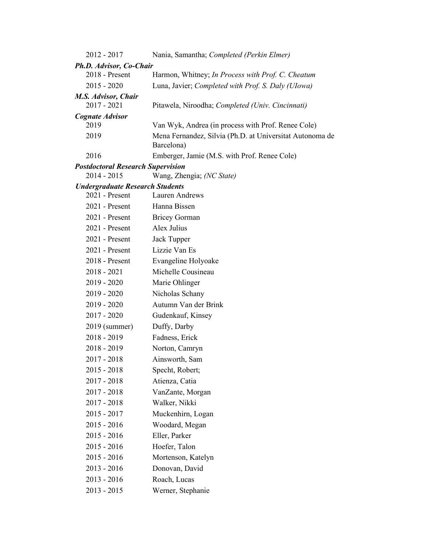| 2012 - 2017                              | Nania, Samantha; Completed (Perkin Elmer)                              |  |  |
|------------------------------------------|------------------------------------------------------------------------|--|--|
| Ph.D. Advisor, Co-Chair                  |                                                                        |  |  |
| 2018 - Present                           | Harmon, Whitney; In Process with Prof. C. Cheatum                      |  |  |
| $2015 - 2020$                            | Luna, Javier; Completed with Prof. S. Daly (Ulowa)                     |  |  |
| M.S. Advisor, Chair<br>2017 - 2021       | Pitawela, Niroodha; Completed (Univ. Cincinnati)                       |  |  |
| <b>Cognate Advisor</b>                   |                                                                        |  |  |
| 2019                                     | Van Wyk, Andrea (in process with Prof. Renee Cole)                     |  |  |
| 2019                                     | Mena Fernandez, Silvia (Ph.D. at Universitat Autonoma de<br>Barcelona) |  |  |
| 2016                                     | Emberger, Jamie (M.S. with Prof. Renee Cole)                           |  |  |
| <b>Postdoctoral Research Supervision</b> |                                                                        |  |  |
| $2014 - 2015$                            | Wang, Zhengia; (NC State)                                              |  |  |
| <b>Undergraduate Research Students</b>   |                                                                        |  |  |
| 2021 - Present                           | Lauren Andrews                                                         |  |  |
| 2021 - Present                           | Hanna Bissen                                                           |  |  |
| $2021$ - Present                         | <b>Bricey Gorman</b>                                                   |  |  |
| 2021 - Present                           | Alex Julius                                                            |  |  |
| 2021 - Present                           | Jack Tupper                                                            |  |  |
| 2021 - Present                           | Lizzie Van Es                                                          |  |  |
| 2018 - Present                           | Evangeline Holyoake                                                    |  |  |
| $2018 - 2021$                            | Michelle Cousineau                                                     |  |  |
| $2019 - 2020$                            | Marie Ohlinger                                                         |  |  |
| $2019 - 2020$                            | Nicholas Schany                                                        |  |  |
| 2019 - 2020                              | Autumn Van der Brink                                                   |  |  |
| $2017 - 2020$                            | Gudenkauf, Kinsey                                                      |  |  |
| 2019 (summer)                            | Duffy, Darby                                                           |  |  |
| $2018 - 2019$                            | Fadness, Erick                                                         |  |  |
| $2018 - 2019$                            | Norton, Camryn                                                         |  |  |
| 2017 - 2018                              | Ainsworth, Sam                                                         |  |  |
| $2015 - 2018$                            | Specht, Robert;                                                        |  |  |
| $2017 - 2018$                            | Atienza, Catia                                                         |  |  |
| $2017 - 2018$                            | VanZante, Morgan                                                       |  |  |
| $2017 - 2018$                            | Walker, Nikki                                                          |  |  |
| $2015 - 2017$                            | Muckenhirn, Logan                                                      |  |  |
| $2015 - 2016$                            | Woodard, Megan                                                         |  |  |
| $2015 - 2016$                            | Eller, Parker                                                          |  |  |
| $2015 - 2016$                            | Hoefer, Talon                                                          |  |  |
| $2015 - 2016$                            | Mortenson, Katelyn                                                     |  |  |
| 2013 - 2016                              | Donovan, David                                                         |  |  |
| $2013 - 2016$                            | Roach, Lucas                                                           |  |  |
| $2013 - 2015$                            | Werner, Stephanie                                                      |  |  |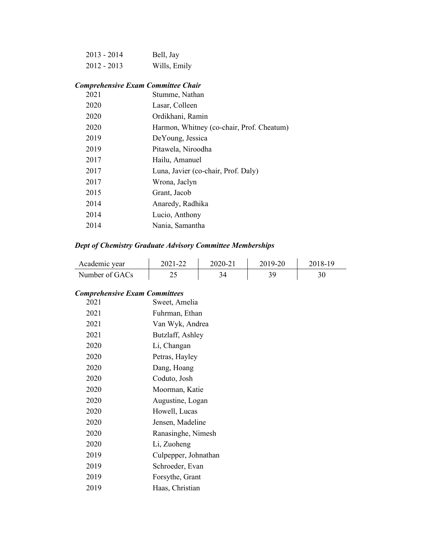| 2013 - 2014 | Bell, Jay    |
|-------------|--------------|
| 2012 - 2013 | Wills, Emily |

## *Comprehensive Exam Committee Chair*

| 2021 | Stumme, Nathan                            |
|------|-------------------------------------------|
| 2020 | Lasar, Colleen                            |
| 2020 | Ordikhani, Ramin                          |
| 2020 | Harmon, Whitney (co-chair, Prof. Cheatum) |
| 2019 | DeYoung, Jessica                          |
| 2019 | Pitawela, Niroodha                        |
| 2017 | Hailu, Amanuel                            |
| 2017 | Luna, Javier (co-chair, Prof. Daly)       |
| 2017 | Wrona, Jaclyn                             |
| 2015 | Grant, Jacob                              |
| 2014 | Anaredy, Radhika                          |
| 2014 | Lucio, Anthony                            |
| 2014 | Nania, Samantha                           |
|      |                                           |

## *Dept of Chemistry Graduate Advisory Committee Memberships*

| Academic year  | 2021-22 | 2020-21 | 2019-20 | 2018-19 |
|----------------|---------|---------|---------|---------|
| Number of GACs | ن ک     |         |         |         |

## *Comprehensive Exam Committees*

| 2021 | Sweet, Amelia        |
|------|----------------------|
| 2021 | Fuhrman, Ethan       |
| 2021 | Van Wyk, Andrea      |
| 2021 | Butzlaff, Ashley     |
| 2020 | Li, Changan          |
| 2020 | Petras, Hayley       |
| 2020 | Dang, Hoang          |
| 2020 | Coduto, Josh         |
| 2020 | Moorman, Katie       |
| 2020 | Augustine, Logan     |
| 2020 | Howell, Lucas        |
| 2020 | Jensen, Madeline     |
| 2020 | Ranasinghe, Nimesh   |
| 2020 | Li, Zuoheng          |
| 2019 | Culpepper, Johnathan |
| 2019 | Schroeder, Evan      |
| 2019 | Forsythe, Grant      |
| 2019 | Haas, Christian      |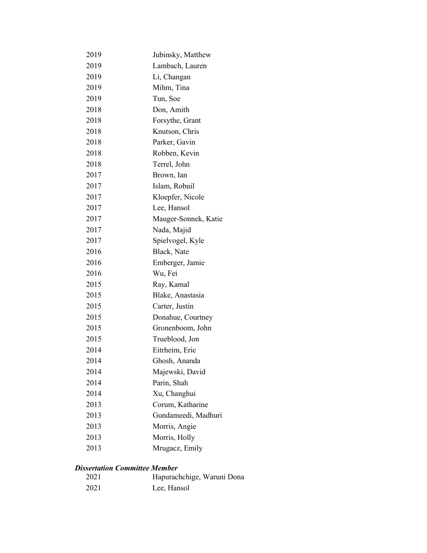| 2019 | Jubinsky, Matthew    |  |  |
|------|----------------------|--|--|
| 2019 | Lambach, Lauren      |  |  |
| 2019 | Li, Changan          |  |  |
| 2019 | Mihm, Tina           |  |  |
| 2019 | Tun, Soe             |  |  |
| 2018 | Don, Amith           |  |  |
| 2018 | Forsythe, Grant      |  |  |
| 2018 | Knutson, Chris       |  |  |
| 2018 | Parker, Gavin        |  |  |
| 2018 | Robben, Kevin        |  |  |
| 2018 | Terrel, John         |  |  |
| 2017 | Brown, Ian           |  |  |
| 2017 | Islam, Robuil        |  |  |
| 2017 | Kloepfer, Nicole     |  |  |
| 2017 | Lee, Hansol          |  |  |
| 2017 | Mauger-Sonnek, Katie |  |  |
| 2017 | Nada, Majid          |  |  |
| 2017 | Spielvogel, Kyle     |  |  |
| 2016 | Black, Nate          |  |  |
| 2016 | Emberger, Jamie      |  |  |
| 2016 | Wu, Fei              |  |  |
| 2015 | Ray, Kamal           |  |  |
| 2015 | Blake, Anastasia     |  |  |
| 2015 | Carter, Justin       |  |  |
| 2015 | Donahue, Courtney    |  |  |
| 2015 | Gronenboom, John     |  |  |
| 2015 | Trueblood, Jon       |  |  |
| 2014 | Eitrheim, Eric       |  |  |
| 2014 | Ghosh, Ananda        |  |  |
| 2014 | Majewski, David      |  |  |
| 2014 | Parin, Shah          |  |  |
| 2014 | Xu, Changhui         |  |  |
| 2013 | Corum, Katharine     |  |  |
| 2013 | Gundameedi, Madhuri  |  |  |
| 2013 | Morris, Angie        |  |  |
| 2013 | Morris, Holly        |  |  |
| 2013 | Mrugacz, Emily       |  |  |

#### *Dissertation Committee Member*

| 2021 | Hapurachchige, Waruni Dona |
|------|----------------------------|
| 2021 | Lee, Hansol                |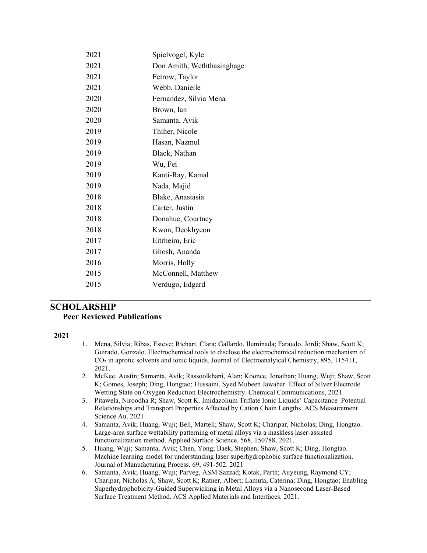| 2021 | Spielvogel, Kyle           |
|------|----------------------------|
| 2021 | Don Amith, Weththasinghage |
| 2021 | Fetrow, Taylor             |
| 2021 | Webb, Danielle             |
| 2020 | Fernandez, Silvia Mena     |
| 2020 | Brown, Ian                 |
| 2020 | Samanta, Avik              |
| 2019 | Thiher, Nicole             |
| 2019 | Hasan, Nazmul              |
| 2019 | Black, Nathan              |
| 2019 | Wu, Fei                    |
| 2019 | Kanti-Ray, Kamal           |
| 2019 | Nada, Majid                |
| 2018 | Blake, Anastasia           |
| 2018 | Carter, Justin             |
| 2018 | Donahue, Courtney          |
| 2018 | Kwon, Deokhyeon            |
| 2017 | Eitrheim, Eric             |
| 2017 | Ghosh, Ananda              |
| 2016 | Morris, Holly              |
| 2015 | McConnell, Matthew         |
| 2015 | Verdugo, Edgard            |
|      |                            |

## **SCHOLARSHIP Peer Reviewed Publications**

- 1. Mena, Silvia; Ribas, Esteve; Richart, Clara; Gallardo, Iluminada; Faraudo, Jordi; Shaw, Scott K; Guirado, Gonzalo. Electrochemical tools to disclose the electrochemical reduction mechanism of CO2 in aprotic solvents and ionic liquids. Journal of Electroanalyical Chemistry, 895, 115411, 2021.
- 2. McKee, Austin; Samanta, Avik; Rassoolkhani, Alan; Koonce, Jonathan; Huang, Wuji; Shaw, Scott K; Gomes, Joseph; Ding, Hongtao; Hussaini, Syed Mubeen Jawahar. Effect of Silver Electrode Wetting State on Oxygen Reduction Electrochemistry. Chemical Communications, 2021.
- 3. Pitawela, Niroodha R; Shaw, Scott K. Imidazolium Triflate Ionic Liquids' Capacitance–Potential Relationships and Transport Properties Affected by Cation Chain Lengths. ACS Measurement Science Au. 2021
- 4. Samanta, Avik; Huang, Wuji; Bell, Martell; Shaw, Scott K; Charipar, Nicholas; Ding, Hongtao. Large-area surface wettability patterning of metal alloys via a maskless laser-assisted functionalization method. Applied Surface Science. 568, 150788, 2021.
- 5. Huang, Wuji; Samanta, Avik; Chen, Yong; Baek, Stephen; Shaw, Scott K; Ding, Hongtao. Machine learning model for understanding laser superhydrophobic surface functionalization. Journal of Manufacturing Process. 69, 491-502. 2021
- 6. Samanta, Avik; Huang, Wuji; Parveg, ASM Sazzad; Kotak, Parth; Auyeung, Raymond CY; Charipar, Nicholas A; Shaw, Scott K; Ratner, Albert; Lamuta, Caterina; Ding, Hongtao; Enabling Superhydrophobicity-Guided Superwicking in Metal Alloys via a Nanosecond Laser-Based Surface Treatment Method. ACS Applied Materials and Interfaces. 2021.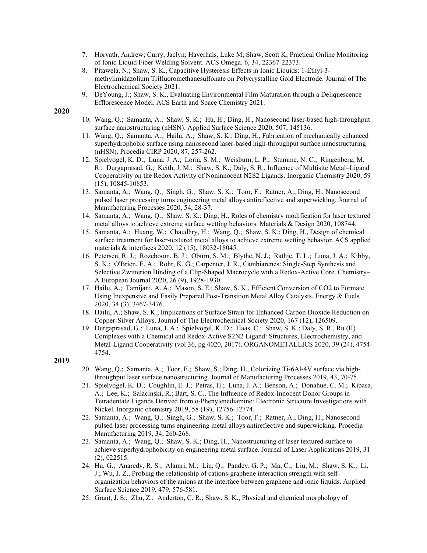- 7. Horvath, Andrew; Curry, Jaclyn; Haverhals, Luke M; Shaw, Scott K; Practical Online Monitoring of Ionic Liquid Fiber Welding Solvent. ACS Omega. 6, 34, 22367-22373.
- 8. Pitawela, N.; Shaw, S. K., Capacitive Hysteresis Effects in Ionic Liquids: 1-Ethyl-3 methylimidazolium Trifluoromethanesulfonate on Polycrystalline Gold Electrode. Journal of The Electrochemical Society 2021.
- 9. DeYoung, J.; Shaw, S. K., Evaluating Environmental Film Maturation through a Deliquescence– Efflorescence Model. ACS Earth and Space Chemistry 2021.

- 10. Wang, Q.; Samanta, A.; Shaw, S. K.; Hu, H.; Ding, H., Nanosecond laser-based high-throughput surface nanostructuring (nHSN). Applied Surface Science 2020, 507, 145136.
- 11. Wang, Q.; Samanta, A.; Hailu, A.; Shaw, S. K.; Ding, H., Fabrication of mechanically enhanced superhydrophobic surface using nanosecond laser-based high-throughput surface nanostructuring (nHSN). Procedia CIRP 2020, 87, 257-262.
- 12. Spielvogel, K. D.; Luna, J. A.; Loria, S. M.; Weisburn, L. P.; Stumme, N. C.; Ringenberg, M. R.; Durgaprasad, G.; Keith, J. M.; Shaw, S. K.; Daly, S. R., Influence of Multisite Metal–Ligand Cooperativity on the Redox Activity of Noninnocent N2S2 Ligands. Inorganic Chemistry 2020, 59 (15), 10845-10853.
- 13. Samanta, A.; Wang, Q.; Singh, G.; Shaw, S. K.; Toor, F.; Ratner, A.; Ding, H., Nanosecond pulsed laser processing turns engineering metal alloys antireflective and superwicking. Journal of Manufacturing Processes 2020, 54, 28-37.
- 14. Samanta, A.; Wang, Q.; Shaw, S. K.; Ding, H., Roles of chemistry modification for laser textured metal alloys to achieve extreme surface wetting behaviors. Materials & Design 2020, 108744.
- 15. Samanta, A.; Huang, W.; Chaudhry, H.; Wang, Q.; Shaw, S. K.; Ding, H., Design of chemical surface treatment for laser-textured metal alloys to achieve extreme wetting behavior. ACS applied materials & interfaces 2020, 12 (15), 18032-18045.
- 16. Petersen, R. J.; Rozeboom, B. J.; Oburn, S. M.; Blythe, N. J.; Rathje, T. L.; Luna, J. A.; Kibby, S. K.; O'Brien, E. A.; Rohr, K. G.; Carpenter, J. R., Cambiarenes: Single‐Step Synthesis and Selective Zwitterion Binding of a Clip‐Shaped Macrocycle with a Redox‐Active Core. Chemistry– A European Journal 2020, 26 (9), 1928-1930.
- 17. Hailu, A.; Tamijani, A. A.; Mason, S. E.; Shaw, S. K., Efficient Conversion of CO2 to Formate Using Inexpensive and Easily Prepared Post-Transition Metal Alloy Catalysts. Energy & Fuels 2020, 34 (3), 3467-3476.
- 18. Hailu, A.; Shaw, S. K., Implications of Surface Strain for Enhanced Carbon Dioxide Reduction on Copper-Silver Alloys. Journal of The Electrochemical Society 2020, 167 (12), 126509.
- 19. Durgaprasad, G.; Luna, J. A.; Spielvogel, K. D.; Haas, C.; Shaw, S. K.; Daly, S. R., Ru (II) Complexes with a Chemical and Redox-Active S2N2 Ligand: Structures, Electrochemistry, and Metal-Ligand Cooperativity (vol 36, pg 4020, 2017). ORGANOMETALLICS 2020, 39 (24), 4754- 4754.

- 20. Wang, Q.; Samanta, A.; Toor, F.; Shaw, S.; Ding, H., Colorizing Ti-6Al-4V surface via highthroughput laser surface nanostructuring. Journal of Manufacturing Processes 2019, 43, 70-75.
- 21. Spielvogel, K. D.; Coughlin, E. J.; Petras, H.; Luna, J. A.; Benson, A.; Donahue, C. M.; Kibasa, A.; Lee, K.; Salacinski, R.; Bart, S. C., The Influence of Redox-Innocent Donor Groups in Tetradentate Ligands Derived from o-Phenylenediamine: Electronic Structure Investigations with Nickel. Inorganic chemistry 2019, 58 (19), 12756-12774.
- 22. Samanta, A.; Wang, Q.; Singh, G.; Shaw, S. K.; Toor, F.; Ratner, A.; Ding, H., Nanosecond pulsed laser processing turns engineering metal alloys antireflective and superwicking. Procedia Manufacturing 2019, 34, 260-268.
- 23. Samanta, A.; Wang, Q.; Shaw, S. K.; Ding, H., Nanostructuring of laser textured surface to achieve superhydrophobicity on engineering metal surface. Journal of Laser Applications 2019, 31 (2), 022515.
- 24. Hu, G.; Anaredy, R. S.; Alamri, M.; Liu, Q.; Pandey, G. P.; Ma, C.; Liu, M.; Shaw, S. K.; Li, J.; Wu, J. Z., Probing the relationship of cations-graphene interaction strength with selforganization behaviors of the anions at the interface between graphene and ionic liquids. Applied Surface Science 2019, 479, 576-581.
- 25. Grant, J. S.; Zhu, Z.; Anderton, C. R.; Shaw, S. K., Physical and chemical morphology of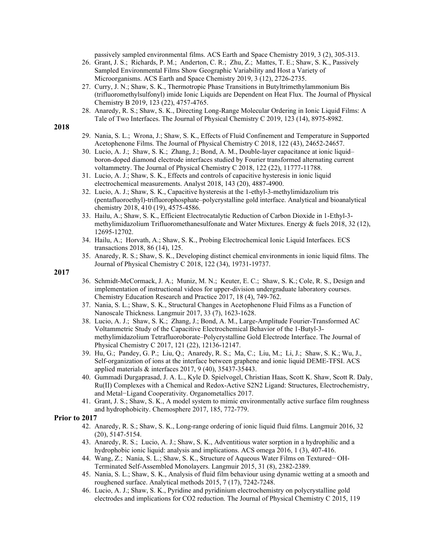passively sampled environmental films. ACS Earth and Space Chemistry 2019, 3 (2), 305-313.

- 26. Grant, J. S.; Richards, P. M.; Anderton, C. R.; Zhu, Z.; Mattes, T. E.; Shaw, S. K., Passively Sampled Environmental Films Show Geographic Variability and Host a Variety of Microorganisms. ACS Earth and Space Chemistry 2019, 3 (12), 2726-2735.
- 27. Curry, J. N.; Shaw, S. K., Thermotropic Phase Transitions in Butyltrimethylammonium Bis (trifluoromethylsulfonyl) imide Ionic Liquids are Dependent on Heat Flux. The Journal of Physical Chemistry B 2019, 123 (22), 4757-4765.
- 28. Anaredy, R. S.; Shaw, S. K., Directing Long-Range Molecular Ordering in Ionic Liquid Films: A Tale of Two Interfaces. The Journal of Physical Chemistry C 2019, 123 (14), 8975-8982.

#### **2018**

- 29. Nania, S. L.; Wrona, J.; Shaw, S. K., Effects of Fluid Confinement and Temperature in Supported Acetophenone Films. The Journal of Physical Chemistry C 2018, 122 (43), 24652-24657.
- 30. Lucio, A. J.; Shaw, S. K.; Zhang, J.; Bond, A. M., Double-layer capacitance at ionic liquid– boron-doped diamond electrode interfaces studied by Fourier transformed alternating current voltammetry. The Journal of Physical Chemistry C 2018, 122 (22), 11777-11788.
- 31. Lucio, A. J.; Shaw, S. K., Effects and controls of capacitive hysteresis in ionic liquid electrochemical measurements. Analyst 2018, 143 (20), 4887-4900.
- 32. Lucio, A. J.; Shaw, S. K., Capacitive hysteresis at the 1-ethyl-3-methylimidazolium tris (pentafluoroethyl)-trifluorophosphate–polycrystalline gold interface. Analytical and bioanalytical chemistry 2018, 410 (19), 4575-4586.
- 33. Hailu, A.; Shaw, S. K., Efficient Electrocatalytic Reduction of Carbon Dioxide in 1-Ethyl-3 methylimidazolium Trifluoromethanesulfonate and Water Mixtures. Energy & fuels 2018, 32 (12), 12695-12702.
- 34. Hailu, A.; Horvath, A.; Shaw, S. K., Probing Electrochemical Ionic Liquid Interfaces. ECS transactions 2018, 86 (14), 125.
- 35. Anaredy, R. S.; Shaw, S. K., Developing distinct chemical environments in ionic liquid films. The Journal of Physical Chemistry C 2018, 122 (34), 19731-19737.

#### **2017**

- 36. Schmidt-McCormack, J. A.; Muniz, M. N.; Keuter, E. C.; Shaw, S. K.; Cole, R. S., Design and implementation of instructional videos for upper-division undergraduate laboratory courses. Chemistry Education Research and Practice 2017, 18 (4), 749-762.
- 37. Nania, S. L.; Shaw, S. K., Structural Changes in Acetophenone Fluid Films as a Function of Nanoscale Thickness. Langmuir 2017, 33 (7), 1623-1628.
- 38. Lucio, A. J.; Shaw, S. K.; Zhang, J.; Bond, A. M., Large-Amplitude Fourier-Transformed AC Voltammetric Study of the Capacitive Electrochemical Behavior of the 1-Butyl-3 methylimidazolium Tetrafluoroborate–Polycrystalline Gold Electrode Interface. The Journal of Physical Chemistry C 2017, 121 (22), 12136-12147.
- 39. Hu, G.; Pandey, G. P.; Liu, Q.; Anaredy, R. S.; Ma, C.; Liu, M.; Li, J.; Shaw, S. K.; Wu, J., Self-organization of ions at the interface between graphene and ionic liquid DEME-TFSI. ACS applied materials & interfaces 2017, 9 (40), 35437-35443.
- 40. Gummadi Durgaprasad, J. A. L., Kyle D. Spielvogel, Christian Haas, Scott K. Shaw, Scott R. Daly, Ru(II) Complexes with a Chemical and Redox-Active S2N2 Ligand: Structures, Electrochemistry, and Metal−Ligand Cooperativity. Organometallics 2017.
- 41. Grant, J. S.; Shaw, S. K., A model system to mimic environmentally active surface film roughness and hydrophobicity. Chemosphere 2017, 185, 772-779.

#### **Prior to 2017**

- 42. Anaredy, R. S.; Shaw, S. K., Long-range ordering of ionic liquid fluid films. Langmuir 2016, 32 (20), 5147-5154.
- 43. Anaredy, R. S.; Lucio, A. J.; Shaw, S. K., Adventitious water sorption in a hydrophilic and a hydrophobic ionic liquid: analysis and implications. ACS omega 2016, 1 (3), 407-416.
- 44. Wang, Z.; Nania, S. L.; Shaw, S. K., Structure of Aqueous Water Films on Textured− OH-Terminated Self-Assembled Monolayers. Langmuir 2015, 31 (8), 2382-2389.
- 45. Nania, S. L.; Shaw, S. K., Analysis of fluid film behaviour using dynamic wetting at a smooth and roughened surface. Analytical methods 2015, 7 (17), 7242-7248.
- 46. Lucio, A. J.; Shaw, S. K., Pyridine and pyridinium electrochemistry on polycrystalline gold electrodes and implications for CO2 reduction. The Journal of Physical Chemistry C 2015, 119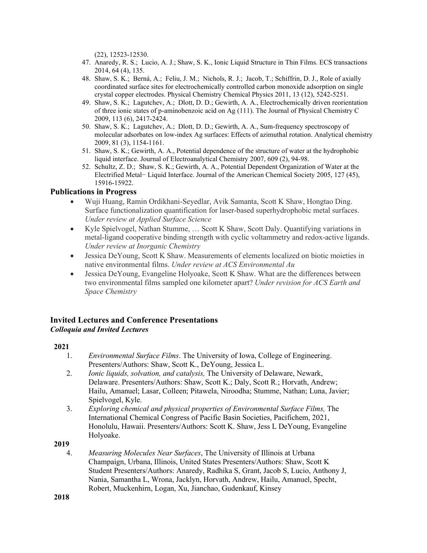(22), 12523-12530.

- 47. Anaredy, R. S.; Lucio, A. J.; Shaw, S. K., Ionic Liquid Structure in Thin Films. ECS transactions 2014, 64 (4), 135.
- 48. Shaw, S. K.; Berná, A.; Feliu, J. M.; Nichols, R. J.; Jacob, T.; Schiffrin, D. J., Role of axially coordinated surface sites for electrochemically controlled carbon monoxide adsorption on single crystal copper electrodes. Physical Chemistry Chemical Physics 2011, 13 (12), 5242-5251.
- 49. Shaw, S. K.; Lagutchev, A.; Dlott, D. D.; Gewirth, A. A., Electrochemically driven reorientation of three ionic states of p-aminobenzoic acid on Ag (111). The Journal of Physical Chemistry C 2009, 113 (6), 2417-2424.
- 50. Shaw, S. K.; Lagutchev, A.; Dlott, D. D.; Gewirth, A. A., Sum-frequency spectroscopy of molecular adsorbates on low-index Ag surfaces: Effects of azimuthal rotation. Analytical chemistry 2009, 81 (3), 1154-1161.
- 51. Shaw, S. K.; Gewirth, A. A., Potential dependence of the structure of water at the hydrophobic liquid interface. Journal of Electroanalytical Chemistry 2007, 609 (2), 94-98.
- 52. Schultz, Z. D.; Shaw, S. K.; Gewirth, A. A., Potential Dependent Organization of Water at the Electrified Metal− Liquid Interface. Journal of the American Chemical Society 2005, 127 (45), 15916-15922.

## **Publications in Progress**

- Wuji Huang, Ramin Ordikhani-Seyedlar, Avik Samanta, Scott K Shaw, Hongtao Ding. Surface functionalization quantification for laser-based superhydrophobic metal surfaces. *Under review at Applied Surface Science*
- Kyle Spielvogel, Nathan Stumme, ... Scott K Shaw, Scott Daly. Quantifying variations in metal-ligand cooperative binding strength with cyclic voltammetry and redox-active ligands. *Under review at Inorganic Chemistry*
- Jessica DeYoung, Scott K Shaw. Measurements of elements localized on biotic moieties in native environmental films. *Under review at ACS Environmental Au*
- Jessica DeYoung, Evangeline Holyoake, Scott K Shaw. What are the differences between two environmental films sampled one kilometer apart? *Under revision for ACS Earth and Space Chemistry*

### **Invited Lectures and Conference Presentations** *Colloquia and Invited Lectures*

#### **2021**

- 1. *Environmental Surface Films*. The University of Iowa, College of Engineering. Presenters/Authors: Shaw, Scott K., DeYoung, Jessica L.
- 2. *Ionic liquids, solvation, and catalysis,* The University of Delaware, Newark, Delaware. Presenters/Authors: Shaw, Scott K.; Daly, Scott R.; Horvath, Andrew; Hailu, Amanuel; Lasar, Colleen; Pitawela, Niroodha; Stumme, Nathan; Luna, Javier; Spielvogel, Kyle.
- 3. *Exploring chemical and physical properties of Environmental Surface Films,* The International Chemical Congress of Pacific Basin Societies, Pacifichem, 2021, Honolulu, Hawaii. Presenters/Authors: Scott K. Shaw, Jess L DeYoung, Evangeline Holyoake.

#### **2019**

4. *Measuring Molecules Near Surfaces*, The University of Illinois at Urbana Champaign, Urbana, Illinois, United States Presenters/Authors: Shaw, Scott K Student Presenters/Authors: Anaredy, Radhika S, Grant, Jacob S, Lucio, Anthony J, Nania, Samantha L, Wrona, Jacklyn, Horvath, Andrew, Hailu, Amanuel, Specht, Robert, Muckenhirn, Logan, Xu, Jianchao, Gudenkauf, Kinsey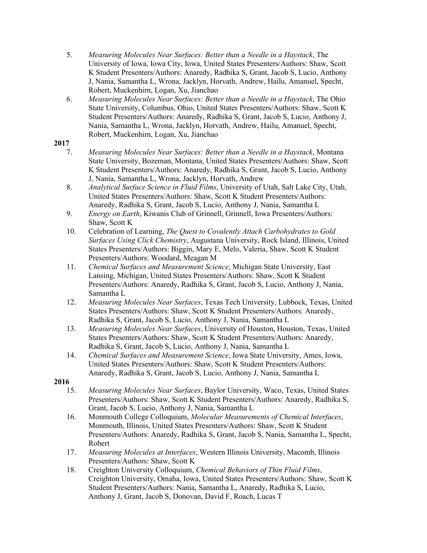- 5. *Measuring Molecules Near Surfaces: Better than a Needle in a Haystack*, The University of Iowa, Iowa City, Iowa, United States Presenters/Authors: Shaw, Scott K Student Presenters/Authors: Anaredy, Radhika S, Grant, Jacob S, Lucio, Anthony J, Nania, Samantha L, Wrona, Jacklyn, Horvath, Andrew, Hailu, Amanuel, Specht, Robert, Muckenhirn, Logan, Xu, Jianchao
- 6. *Measuring Molecules Near Surfaces: Better than a Needle in a Haystack*, The Ohio State University, Columbus, Ohio, United States Presenters/Authors: Shaw, Scott K Student Presenters/Authors: Anaredy, Radhika S, Grant, Jacob S, Lucio, Anthony J, Nania, Samantha L, Wrona, Jacklyn, Horvath, Andrew, Hailu, Amanuel, Specht, Robert, Muckenhirn, Logan, Xu, Jianchao

- 7. *Measuring Molecules Near Surfaces: Better than a Needle in a Haystack*, Montana State University, Bozeman, Montana, United States Presenters/Authors: Shaw, Scott K Student Presenters/Authors: Anaredy, Radhika S, Grant, Jacob S, Lucio, Anthony J, Nania, Samantha L, Wrona, Jacklyn, Horvath, Andrew
- 8. *Analytical Surface Science in Fluid Films*, University of Utah, Salt Lake City, Utah, United States Presenters/Authors: Shaw, Scott K Student Presenters/Authors: Anaredy, Radhika S, Grant, Jacob S, Lucio, Anthony J, Nania, Samantha L
- 9. *Energy on Earth*, Kiwanis Club of Grinnell, Grinnell, Iowa Presenters/Authors: Shaw, Scott K
- 10. Celebration of Learning, *The Quest to Covalently Attach Carbohydrates to Gold Surfaces Using Click Chemistry*, Augustana University, Rock Island, Illinois, United States Presenters/Authors: Biggin, Mary E, Melo, Valeria, Shaw, Scott K Student Presenters/Authors: Woodard, Meagan M
- 11. *Chemical Surfaces and Measurement Science*, Michigan State University, East Lansing, Michigan, United States Presenters/Authors: Shaw, Scott K Student Presenters/Authors: Anaredy, Radhika S, Grant, Jacob S, Lucio, Anthony J, Nania, Samantha L
- 12. *Measuring Molecules Near Surfaces*, Texas Tech University, Lubbock, Texas, United States Presenters/Authors: Shaw, Scott K Student Presenters/Authors: Anaredy, Radhika S, Grant, Jacob S, Lucio, Anthony J, Nania, Samantha L
- 13. *Measuring Molecules Near Surfaces*, University of Houston, Houston, Texas, United States Presenters/Authors: Shaw, Scott K Student Presenters/Authors: Anaredy, Radhika S, Grant, Jacob S, Lucio, Anthony J, Nania, Samantha L
- 14. *Chemical Surfaces and Measurement Science*, Iowa State University, Ames, Iowa, United States Presenters/Authors: Shaw, Scott K Student Presenters/Authors: Anaredy, Radhika S, Grant, Jacob S, Lucio, Anthony J, Nania, Samantha L

- 15. *Measuring Molecules Near Surfaces*, Baylor University, Waco, Texas, United States Presenters/Authors: Shaw, Scott K Student Presenters/Authors: Anaredy, Radhika S, Grant, Jacob S, Lucio, Anthony J, Nania, Samantha L
- 16. Monmouth College Colloquium, *Molecular Measurements of Chemical Interfaces*, Monmouth, Illinois, United States Presenters/Authors: Shaw, Scott K Student Presenters/Authors: Anaredy, Radhika S, Grant, Jacob S, Nania, Samantha L, Specht, Robert
- 17. *Measuring Molecules at Interfaces*, Western Illinois University, Macomb, Illinois Presenters/Authors: Shaw, Scott K
- 18. Creighton University Colloquium, *Chemical Behaviors of Thin Fluid Films*, Creighton University, Omaha, Iowa, United States Presenters/Authors: Shaw, Scott K Student Presenters/Authors: Nania, Samantha L, Anaredy, Radhika S, Lucio, Anthony J, Grant, Jacob S, Donovan, David F, Roach, Lucas T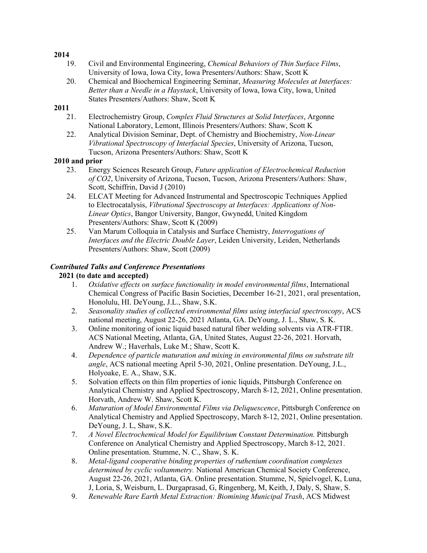- 19. Civil and Environmental Engineering, *Chemical Behaviors of Thin Surface Films*, University of Iowa, Iowa City, Iowa Presenters/Authors: Shaw, Scott K
- 20. Chemical and Biochemical Engineering Seminar, *Measuring Molecules at Interfaces: Better than a Needle in a Haystack*, University of Iowa, Iowa City, Iowa, United States Presenters/Authors: Shaw, Scott K

## **2011**

- 21. Electrochemistry Group, *Complex Fluid Structures at Solid Interfaces*, Argonne National Laboratory, Lemont, Illinois Presenters/Authors: Shaw, Scott K
- 22. Analytical Division Seminar, Dept. of Chemistry and Biochemistry, *Non-Linear Vibrational Spectroscopy of Interfacial Species*, University of Arizona, Tucson, Tucson, Arizona Presenters/Authors: Shaw, Scott K

### **2010 and prior**

- 23. Energy Sciences Research Group, *Future application of Electrochemical Reduction of CO2*, University of Arizona, Tucson, Tucson, Arizona Presenters/Authors: Shaw, Scott, Schiffrin, David J (2010)
- 24. ELCAT Meeting for Advanced Instrumental and Spectroscopic Techniques Applied to Electrocatalysis, *Vibrational Spectroscopy at Interfaces: Applications of Non-Linear Optics*, Bangor University, Bangor, Gwynedd, United Kingdom Presenters/Authors: Shaw, Scott K (2009)
- 25. Van Marum Colloquia in Catalysis and Surface Chemistry, *Interrogations of Interfaces and the Electric Double Layer*, Leiden University, Leiden, Netherlands Presenters/Authors: Shaw, Scott (2009)

## *Contributed Talks and Conference Presentations*

### **2021 (to date and accepted)**

- 1. *Oxidative effects on surface functionality in model environmental films*, International Chemical Congress of Pacific Basin Societies, December 16-21, 2021, oral presentation, Honolulu, HI. DeYoung, J.L., Shaw, S.K.
- 2. *Seasonality studies of collected environmental films using interfacial spectroscopy*, ACS national meeting, August 22-26, 2021 Atlanta, GA. DeYoung, J. L., Shaw, S. K.
- 3. Online monitoring of ionic liquid based natural fiber welding solvents via ATR-FTIR. ACS National Meeting, Atlanta, GA, United States, August 22-26, 2021. Horvath, Andrew W.; Haverhals, Luke M.; Shaw, Scott K.
- 4. *Dependence of particle maturation and mixing in environmental films on substrate tilt angle*, ACS national meeting April 5-30, 2021, Online presentation. DeYoung, J.L., Holyoake, E. A., Shaw, S.K.
- 5. Solvation effects on thin film properties of ionic liquids, Pittsburgh Conference on Analytical Chemistry and Applied Spectroscopy, March 8-12, 2021, Online presentation. Horvath, Andrew W. Shaw, Scott K.
- 6. *Maturation of Model Environmental Films via Deliquescence*, Pittsburgh Conference on Analytical Chemistry and Applied Spectroscopy, March 8-12, 2021, Online presentation. DeYoung, J. L, Shaw, S.K.
- 7. *A Novel Electrochemical Model for Equilibrium Constant Determination.* Pittsburgh Conference on Analytical Chemistry and Applied Spectroscopy, March 8-12, 2021. Online presentation. Stumme, N. C., Shaw, S. K.
- 8. *Metal-ligand cooperative binding properties of ruthenium coordination complexes determined by cyclic voltammetry.* National American Chemical Society Conference, August 22-26, 2021, Atlanta, GA. Online presentation. Stumme, N, Spielvogel, K, Luna, J, Loria, S, Weisburn, L. Durgaprasad, G, Ringenberg, M, Keith, J, Daly, S, Shaw, S.
- 9. *Renewable Rare Earth Metal Extraction: Biomining Municipal Trash*, ACS Midwest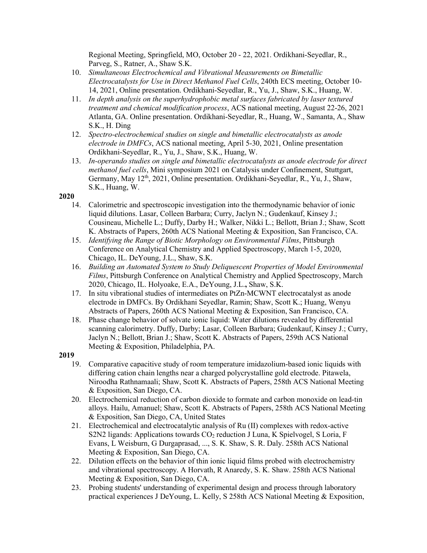Regional Meeting, Springfield, MO, October 20 - 22, 2021. Ordikhani-Seyedlar, R., Parveg, S., Ratner, A., Shaw S.K.

- 10. *Simultaneous Electrochemical and Vibrational Measurements on Bimetallic Electrocatalysts for Use in Direct Methanol Fuel Cells*, 240th ECS meeting, October 10- 14, 2021, Online presentation. Ordikhani-Seyedlar, R., Yu, J., Shaw, S.K., Huang, W.
- 11. *In depth analysis on the superhydrophobic metal surfaces fabricated by laser textured treatment and chemical modification process*, ACS national meeting, August 22-26, 2021 Atlanta, GA. Online presentation. Ordikhani-Seyedlar, R., Huang, W., Samanta, A., Shaw S.K., H. Ding
- 12. *Spectro-electrochemical studies on single and bimetallic electrocatalysts as anode electrode in DMFCs*, ACS national meeting, April 5-30, 2021, Online presentation Ordikhani-Seyedlar, R., Yu, J., Shaw, S.K., Huang, W.
- 13. *In-operando studies on single and bimetallic electrocatalysts as anode electrode for direct methanol fuel cells*, Mini symposium 2021 on Catalysis under Confinement, Stuttgart, Germany, May 12<sup>th</sup>, 2021, Online presentation. Ordikhani-Seyedlar, R., Yu, J., Shaw, S.K., Huang, W.

### **2020**

- 14. Calorimetric and spectroscopic investigation into the thermodynamic behavior of ionic liquid dilutions. Lasar, Colleen Barbara; Curry, Jaclyn N.; Gudenkauf, Kinsey J.; Cousineau, Michelle L.; Duffy, Darby H.; Walker, Nikki L.; Bellott, Brian J.; Shaw, Scott K. Abstracts of Papers, 260th ACS National Meeting & Exposition, San Francisco, CA.
- 15. *Identifying the Range of Biotic Morphology on Environmental Films*, Pittsburgh Conference on Analytical Chemistry and Applied Spectroscopy, March 1-5, 2020, Chicago, IL. DeYoung, J.L., Shaw, S.K.
- 16. *Building an Automated System to Study Deliquescent Properties of Model Environmental Films*, Pittsburgh Conference on Analytical Chemistry and Applied Spectroscopy, March 2020, Chicago, IL. Holyoake, E.A., DeYoung, J.L.**,** Shaw, S.K.
- 17. In situ vibrational studies of intermediates on PtZn-MCWNT electrocatalyst as anode electrode in DMFCs. By Ordikhani Seyedlar, Ramin; Shaw, Scott K.; Huang, Wenyu Abstracts of Papers, 260th ACS National Meeting & Exposition, San Francisco, CA.
- 18. Phase change behavior of solvate ionic liquid: Water dilutions revealed by differential scanning calorimetry. Duffy, Darby; Lasar, Colleen Barbara; Gudenkauf, Kinsey J.; Curry, Jaclyn N.; Bellott, Brian J.; Shaw, Scott K. Abstracts of Papers, 259th ACS National Meeting & Exposition, Philadelphia, PA.

- 19. Comparative capacitive study of room temperature imidazolium-based ionic liquids with differing cation chain lengths near a charged polycrystalline gold electrode. Pitawela, Niroodha Rathnamaali; Shaw, Scott K. Abstracts of Papers, 258th ACS National Meeting & Exposition, San Diego, CA.
- 20. Electrochemical reduction of carbon dioxide to formate and carbon monoxide on lead-tin alloys. Hailu, Amanuel; Shaw, Scott K. Abstracts of Papers, 258th ACS National Meeting & Exposition, San Diego, CA, United States
- 21. Electrochemical and electrocatalytic analysis of Ru (II) complexes with redox-active S2N2 ligands: Applications towards CO<sub>2</sub> reduction J Luna, K Spielvogel, S Loria, F Evans, L Weisburn, G Durgaprasad, ..., S. K. Shaw, S. R. Daly. 258th ACS National Meeting & Exposition, San Diego, CA.
- 22. Dilution effects on the behavior of thin ionic liquid films probed with electrochemistry and vibrational spectroscopy. A Horvath, R Anaredy, S. K. Shaw. 258th ACS National Meeting & Exposition, San Diego, CA.
- 23. Probing students' understanding of experimental design and process through laboratory practical experiences J DeYoung, L. Kelly, S 258th ACS National Meeting & Exposition,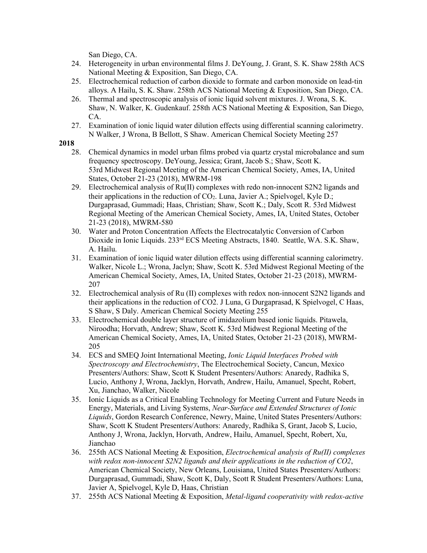San Diego, CA.

- 24. Heterogeneity in urban environmental films J. DeYoung, J. Grant, S. K. Shaw 258th ACS National Meeting & Exposition, San Diego, CA.
- 25. Electrochemical reduction of carbon dioxide to formate and carbon monoxide on lead-tin alloys. A Hailu, S. K. Shaw. 258th ACS National Meeting & Exposition, San Diego, CA.
- 26. Thermal and spectroscopic analysis of ionic liquid solvent mixtures. J. Wrona, S. K. Shaw, N. Walker, K. Gudenkauf. 258th ACS National Meeting & Exposition, San Diego, CA.
- 27. Examination of ionic liquid water dilution effects using differential scanning calorimetry. N Walker, J Wrona, B Bellott, S Shaw. American Chemical Society Meeting 257

- 28. Chemical dynamics in model urban films probed via quartz crystal microbalance and sum frequency spectroscopy. DeYoung, Jessica; Grant, Jacob S.; Shaw, Scott K. 53rd Midwest Regional Meeting of the American Chemical Society, Ames, IA, United States, October 21-23 (2018), MWRM-198
- 29. Electrochemical analysis of Ru(II) complexes with redo non-innocent S2N2 ligands and their applications in the reduction of  $CO<sub>2</sub>$ . Luna, Javier A.; Spielvogel, Kyle D.; Durgaprasad, Gummadi; Haas, Christian; Shaw, Scott K.; Daly, Scott R. 53rd Midwest Regional Meeting of the American Chemical Society, Ames, IA, United States, October 21-23 (2018), MWRM-580
- 30. Water and Proton Concentration Affects the Electrocatalytic Conversion of Carbon Dioxide in Ionic Liquids. 233<sup>rd</sup> ECS Meeting Abstracts, 1840. Seattle, WA. S.K. Shaw, A. Hailu.
- 31. Examination of ionic liquid water dilution effects using differential scanning calorimetry. Walker, Nicole L.; Wrona, Jaclyn; Shaw, Scott K. 53rd Midwest Regional Meeting of the American Chemical Society, Ames, IA, United States, October 21-23 (2018), MWRM-207
- 32. Electrochemical analysis of Ru (II) complexes with redox non-innocent S2N2 ligands and their applications in the reduction of CO2. J Luna, G Durgaprasad, K Spielvogel, C Haas, S Shaw, S Daly. American Chemical Society Meeting 255
- 33. Electrochemical double layer structure of imidazolium based ionic liquids. Pitawela, Niroodha; Horvath, Andrew; Shaw, Scott K. 53rd Midwest Regional Meeting of the American Chemical Society, Ames, IA, United States, October 21-23 (2018), MWRM-205
- 34. ECS and SMEQ Joint International Meeting, *Ionic Liquid Interfaces Probed with Spectroscopy and Electrochemistry*, The Electrochemical Society, Cancun, Mexico Presenters/Authors: Shaw, Scott K Student Presenters/Authors: Anaredy, Radhika S, Lucio, Anthony J, Wrona, Jacklyn, Horvath, Andrew, Hailu, Amanuel, Specht, Robert, Xu, Jianchao, Walker, Nicole
- 35. Ionic Liquids as a Critical Enabling Technology for Meeting Current and Future Needs in Energy, Materials, and Living Systems, *Near-Surface and Extended Structures of Ionic Liquids*, Gordon Research Conference, Newry, Maine, United States Presenters/Authors: Shaw, Scott K Student Presenters/Authors: Anaredy, Radhika S, Grant, Jacob S, Lucio, Anthony J, Wrona, Jacklyn, Horvath, Andrew, Hailu, Amanuel, Specht, Robert, Xu, Jianchao
- 36. 255th ACS National Meeting & Exposition, *Electrochemical analysis of Ru(II) complexes with redox non-innocent S2N2 ligands and their applications in the reduction of CO2*, American Chemical Society, New Orleans, Louisiana, United States Presenters/Authors: Durgaprasad, Gummadi, Shaw, Scott K, Daly, Scott R Student Presenters/Authors: Luna, Javier A, Spielvogel, Kyle D, Haas, Christian
- 37. 255th ACS National Meeting & Exposition, *Metal-ligand cooperativity with redox-active*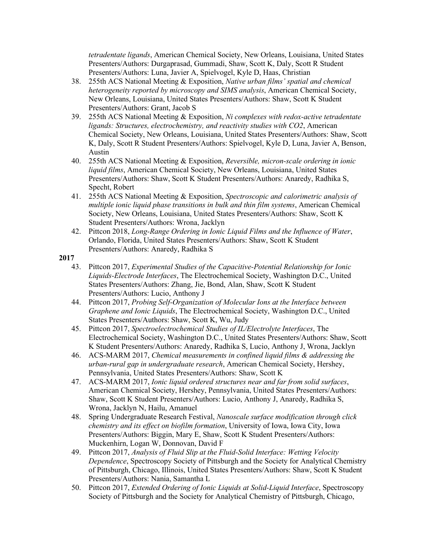*tetradentate ligands*, American Chemical Society, New Orleans, Louisiana, United States Presenters/Authors: Durgaprasad, Gummadi, Shaw, Scott K, Daly, Scott R Student Presenters/Authors: Luna, Javier A, Spielvogel, Kyle D, Haas, Christian

- 38. 255th ACS National Meeting & Exposition, *Native urban films' spatial and chemical heterogeneity reported by microscopy and SIMS analysis*, American Chemical Society, New Orleans, Louisiana, United States Presenters/Authors: Shaw, Scott K Student Presenters/Authors: Grant, Jacob S
- 39. 255th ACS National Meeting & Exposition, *Ni complexes with redox-active tetradentate ligands: Structures, electrochemistry, and reactivity studies with CO2*, American Chemical Society, New Orleans, Louisiana, United States Presenters/Authors: Shaw, Scott K, Daly, Scott R Student Presenters/Authors: Spielvogel, Kyle D, Luna, Javier A, Benson, Austin
- 40. 255th ACS National Meeting & Exposition, *Reversible, micron-scale ordering in ionic liquid films*, American Chemical Society, New Orleans, Louisiana, United States Presenters/Authors: Shaw, Scott K Student Presenters/Authors: Anaredy, Radhika S, Specht, Robert
- 41. 255th ACS National Meeting & Exposition, *Spectroscopic and calorimetric analysis of multiple ionic liquid phase transitions in bulk and thin film systems*, American Chemical Society, New Orleans, Louisiana, United States Presenters/Authors: Shaw, Scott K Student Presenters/Authors: Wrona, Jacklyn
- 42. Pittcon 2018, *Long-Range Ordering in Ionic Liquid Films and the Influence of Water*, Orlando, Florida, United States Presenters/Authors: Shaw, Scott K Student Presenters/Authors: Anaredy, Radhika S

- 43. Pittcon 2017, *Experimental Studies of the Capacitive-Potential Relationship for Ionic Liquids-Electrode Interfaces*, The Electrochemical Society, Washington D.C., United States Presenters/Authors: Zhang, Jie, Bond, Alan, Shaw, Scott K Student Presenters/Authors: Lucio, Anthony J
- 44. Pittcon 2017, *Probing Self-Organization of Molecular Ions at the Interface between Graphene and Ionic Liquids*, The Electrochemical Society, Washington D.C., United States Presenters/Authors: Shaw, Scott K, Wu, Judy
- 45. Pittcon 2017, *Spectroelectrochemical Studies of IL/Electrolyte Interfaces*, The Electrochemical Society, Washington D.C., United States Presenters/Authors: Shaw, Scott K Student Presenters/Authors: Anaredy, Radhika S, Lucio, Anthony J, Wrona, Jacklyn
- 46. ACS-MARM 2017, *Chemical measurements in confined liquid films & addressing the urban-rural gap in undergraduate research*, American Chemical Society, Hershey, Pennsylvania, United States Presenters/Authors: Shaw, Scott K
- 47. ACS-MARM 2017, *Ionic liquid ordered structures near and far from solid surfaces*, American Chemical Society, Hershey, Pennsylvania, United States Presenters/Authors: Shaw, Scott K Student Presenters/Authors: Lucio, Anthony J, Anaredy, Radhika S, Wrona, Jacklyn N, Hailu, Amanuel
- 48. Spring Undergraduate Research Festival, *Nanoscale surface modification through click chemistry and its effect on biofilm formation*, University of Iowa, Iowa City, Iowa Presenters/Authors: Biggin, Mary E, Shaw, Scott K Student Presenters/Authors: Muckenhirn, Logan W, Donnovan, David F
- 49. Pittcon 2017, *Analysis of Fluid Slip at the Fluid-Solid Interface: Wetting Velocity Dependence*, Spectroscopy Society of Pittsburgh and the Society for Analytical Chemistry of Pittsburgh, Chicago, Illinois, United States Presenters/Authors: Shaw, Scott K Student Presenters/Authors: Nania, Samantha L
- 50. Pittcon 2017, *Extended Ordering of Ionic Liquids at Solid-Liquid Interface*, Spectroscopy Society of Pittsburgh and the Society for Analytical Chemistry of Pittsburgh, Chicago,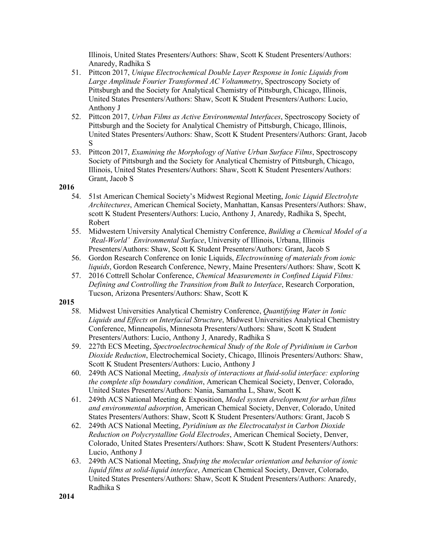Illinois, United States Presenters/Authors: Shaw, Scott K Student Presenters/Authors: Anaredy, Radhika S

- 51. Pittcon 2017, *Unique Electrochemical Double Layer Response in Ionic Liquids from Large Amplitude Fourier Transformed AC Voltammetry*, Spectroscopy Society of Pittsburgh and the Society for Analytical Chemistry of Pittsburgh, Chicago, Illinois, United States Presenters/Authors: Shaw, Scott K Student Presenters/Authors: Lucio, Anthony J
- 52. Pittcon 2017, *Urban Films as Active Environmental Interfaces*, Spectroscopy Society of Pittsburgh and the Society for Analytical Chemistry of Pittsburgh, Chicago, Illinois, United States Presenters/Authors: Shaw, Scott K Student Presenters/Authors: Grant, Jacob S
- 53. Pittcon 2017, *Examining the Morphology of Native Urban Surface Films*, Spectroscopy Society of Pittsburgh and the Society for Analytical Chemistry of Pittsburgh, Chicago, Illinois, United States Presenters/Authors: Shaw, Scott K Student Presenters/Authors: Grant, Jacob S

#### **2016**

- 54. 51st American Chemical Society's Midwest Regional Meeting, *Ionic Liquid Electrolyte Architectures*, American Chemical Society, Manhattan, Kansas Presenters/Authors: Shaw, scott K Student Presenters/Authors: Lucio, Anthony J, Anaredy, Radhika S, Specht, Robert
- 55. Midwestern University Analytical Chemistry Conference, *Building a Chemical Model of a 'Real-World' Environmental Surface*, University of Illinois, Urbana, Illinois Presenters/Authors: Shaw, Scott K Student Presenters/Authors: Grant, Jacob S
- 56. Gordon Research Conference on Ionic Liquids, *Electrowinning of materials from ionic liquids*, Gordon Research Conference, Newry, Maine Presenters/Authors: Shaw, Scott K
- 57. 2016 Cottrell Scholar Conference, *Chemical Measurements in Confined Liquid Films: Defining and Controlling the Transition from Bulk to Interface*, Research Corporation, Tucson, Arizona Presenters/Authors: Shaw, Scott K

- 58. Midwest Universities Analytical Chemistry Conference, *Quantifying Water in Ionic Liquids and Effects on Interfacial Structure*, Midwest Universities Analytical Chemistry Conference, Minneapolis, Minnesota Presenters/Authors: Shaw, Scott K Student Presenters/Authors: Lucio, Anthony J, Anaredy, Radhika S
- 59. 227th ECS Meeting, *Spectroelectrochemical Study of the Role of Pyridinium in Carbon Dioxide Reduction*, Electrochemical Society, Chicago, Illinois Presenters/Authors: Shaw, Scott K Student Presenters/Authors: Lucio, Anthony J
- 60. 249th ACS National Meeting, *Analysis of interactions at fluid-solid interface: exploring the complete slip boundary condition*, American Chemical Society, Denver, Colorado, United States Presenters/Authors: Nania, Samantha L, Shaw, Scott K
- 61. 249th ACS National Meeting & Exposition, *Model system development for urban films and environmental adsorption*, American Chemical Society, Denver, Colorado, United States Presenters/Authors: Shaw, Scott K Student Presenters/Authors: Grant, Jacob S
- 62. 249th ACS National Meeting, *Pyridinium as the Electrocatalyst in Carbon Dioxide Reduction on Polycrystalline Gold Electrodes*, American Chemical Society, Denver, Colorado, United States Presenters/Authors: Shaw, Scott K Student Presenters/Authors: Lucio, Anthony J
- 63. 249th ACS National Meeting, *Studying the molecular orientation and behavior of ionic liquid films at solid-liquid interface*, American Chemical Society, Denver, Colorado, United States Presenters/Authors: Shaw, Scott K Student Presenters/Authors: Anaredy, Radhika S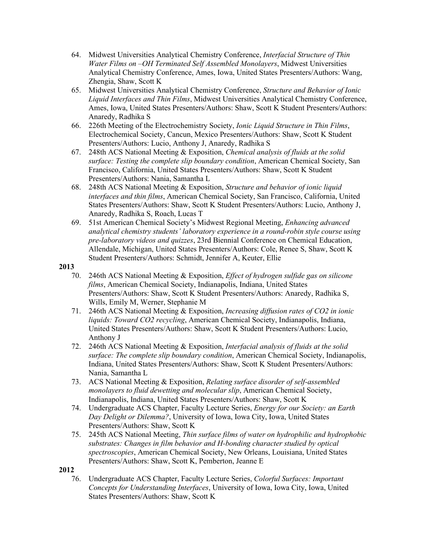- 64. Midwest Universities Analytical Chemistry Conference, *Interfacial Structure of Thin Water Films on –OH Terminated Self Assembled Monolayers*, Midwest Universities Analytical Chemistry Conference, Ames, Iowa, United States Presenters/Authors: Wang, Zhengia, Shaw, Scott K
- 65. Midwest Universities Analytical Chemistry Conference, *Structure and Behavior of Ionic Liquid Interfaces and Thin Films*, Midwest Universities Analytical Chemistry Conference, Ames, Iowa, United States Presenters/Authors: Shaw, Scott K Student Presenters/Authors: Anaredy, Radhika S
- 66. 226th Meeting of the Electrochemistry Society, *Ionic Liquid Structure in Thin Films*, Electrochemical Society, Cancun, Mexico Presenters/Authors: Shaw, Scott K Student Presenters/Authors: Lucio, Anthony J, Anaredy, Radhika S
- 67. 248th ACS National Meeting & Exposition, *Chemical analysis of fluids at the solid surface: Testing the complete slip boundary condition*, American Chemical Society, San Francisco, California, United States Presenters/Authors: Shaw, Scott K Student Presenters/Authors: Nania, Samantha L
- 68. 248th ACS National Meeting & Exposition, *Structure and behavior of ionic liquid interfaces and thin films*, American Chemical Society, San Francisco, California, United States Presenters/Authors: Shaw, Scott K Student Presenters/Authors: Lucio, Anthony J, Anaredy, Radhika S, Roach, Lucas T
- 69. 51st American Chemical Society's Midwest Regional Meeting, *Enhancing advanced analytical chemistry students' laboratory experience in a round-robin style course using pre-laboratory videos and quizzes*, 23rd Biennial Conference on Chemical Education, Allendale, Michigan, United States Presenters/Authors: Cole, Renee S, Shaw, Scott K Student Presenters/Authors: Schmidt, Jennifer A, Keuter, Ellie

- 70. 246th ACS National Meeting & Exposition, *Effect of hydrogen sulfide gas on silicone films*, American Chemical Society, Indianapolis, Indiana, United States Presenters/Authors: Shaw, Scott K Student Presenters/Authors: Anaredy, Radhika S, Wills, Emily M, Werner, Stephanie M
- 71. 246th ACS National Meeting & Exposition, *Increasing diffusion rates of CO2 in ionic liquids: Toward CO2 recycling*, American Chemical Society, Indianapolis, Indiana, United States Presenters/Authors: Shaw, Scott K Student Presenters/Authors: Lucio, Anthony J
- 72. 246th ACS National Meeting & Exposition, *Interfacial analysis of fluids at the solid surface: The complete slip boundary condition*, American Chemical Society, Indianapolis, Indiana, United States Presenters/Authors: Shaw, Scott K Student Presenters/Authors: Nania, Samantha L
- 73. ACS National Meeting & Exposition, *Relating surface disorder of self-assembled monolayers to fluid dewetting and molecular slip*, American Chemical Society, Indianapolis, Indiana, United States Presenters/Authors: Shaw, Scott K
- 74. Undergraduate ACS Chapter, Faculty Lecture Series, *Energy for our Society: an Earth Day Delight or Dilemma?*, University of Iowa, Iowa City, Iowa, United States Presenters/Authors: Shaw, Scott K
- 75. 245th ACS National Meeting, *Thin surface films of water on hydrophilic and hydrophobic substrates: Changes in film behavior and H-bonding character studied by optical spectroscopies*, American Chemical Society, New Orleans, Louisiana, United States Presenters/Authors: Shaw, Scott K, Pemberton, Jeanne E
- **2012**
	- 76. Undergraduate ACS Chapter, Faculty Lecture Series, *Colorful Surfaces: Important Concepts for Understanding Interfaces*, University of Iowa, Iowa City, Iowa, United States Presenters/Authors: Shaw, Scott K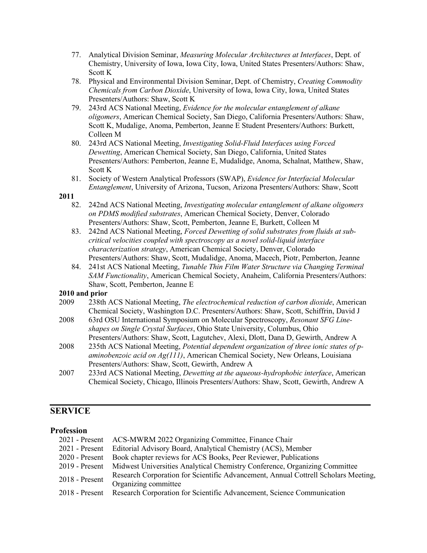- 77. Analytical Division Seminar, *Measuring Molecular Architectures at Interfaces*, Dept. of Chemistry, University of Iowa, Iowa City, Iowa, United States Presenters/Authors: Shaw, Scott K
- 78. Physical and Environmental Division Seminar, Dept. of Chemistry, *Creating Commodity Chemicals from Carbon Dioxide*, University of Iowa, Iowa City, Iowa, United States Presenters/Authors: Shaw, Scott K
- 79. 243rd ACS National Meeting, *Evidence for the molecular entanglement of alkane oligomers*, American Chemical Society, San Diego, California Presenters/Authors: Shaw, Scott K, Mudalige, Anoma, Pemberton, Jeanne E Student Presenters/Authors: Burkett, Colleen M
- 80. 243rd ACS National Meeting, *Investigating Solid-Fluid Interfaces using Forced Dewetting*, American Chemical Society, San Diego, California, United States Presenters/Authors: Pemberton, Jeanne E, Mudalidge, Anoma, Schalnat, Matthew, Shaw, Scott K
- 81. Society of Western Analytical Professors (SWAP), *Evidence for Interfacial Molecular Entanglement*, University of Arizona, Tucson, Arizona Presenters/Authors: Shaw, Scott

- 82. 242nd ACS National Meeting, *Investigating molecular entanglement of alkane oligomers on PDMS modified substrates*, American Chemical Society, Denver, Colorado Presenters/Authors: Shaw, Scott, Pemberton, Jeanne E, Burkett, Colleen M
- 83. 242nd ACS National Meeting, *Forced Dewetting of solid substrates from fluids at subcritical velocities coupled with spectroscopy as a novel solid-liquid interface characterization strategy*, American Chemical Society, Denver, Colorado Presenters/Authors: Shaw, Scott, Mudalidge, Anoma, Macech, Piotr, Pemberton, Jeanne
- 84. 241st ACS National Meeting, *Tunable Thin Film Water Structure via Changing Terminal SAM Functionality*, American Chemical Society, Anaheim, California Presenters/Authors: Shaw, Scott, Pemberton, Jeanne E

#### **2010 and prior**

- 2009 238th ACS National Meeting, *The electrochemical reduction of carbon dioxide*, American Chemical Society, Washington D.C. Presenters/Authors: Shaw, Scott, Schiffrin, David J
- 2008 63rd OSU International Symposium on Molecular Spectroscopy, *Resonant SFG Lineshapes on Single Crystal Surfaces*, Ohio State University, Columbus, Ohio Presenters/Authors: Shaw, Scott, Lagutchev, Alexi, Dlott, Dana D, Gewirth, Andrew A
- 2008 235th ACS National Meeting, *Potential dependent organization of three ionic states of paminobenzoic acid on Ag(111)*, American Chemical Society, New Orleans, Louisiana Presenters/Authors: Shaw, Scott, Gewirth, Andrew A
- 2007 233rd ACS National Meeting, *Dewetting at the aqueous-hydrophobic interface*, American Chemical Society, Chicago, Illinois Presenters/Authors: Shaw, Scott, Gewirth, Andrew A

## **SERVICE**

## **Profession**

|                  | 2021 - Present ACS-MWRM 2022 Organizing Committee, Finance Chair                   |
|------------------|------------------------------------------------------------------------------------|
| $2021$ - Present | Editorial Advisory Board, Analytical Chemistry (ACS), Member                       |
| $2020$ - Present | Book chapter reviews for ACS Books, Peer Reviewer, Publications                    |
| $2019$ - Present | Midwest Universities Analytical Chemistry Conference, Organizing Committee         |
| $2018$ - Present | Research Corporation for Scientific Advancement, Annual Cottrell Scholars Meeting, |
|                  | Organizing committee                                                               |
| $2018$ - Present | Research Corporation for Scientific Advancement, Science Communication             |
|                  |                                                                                    |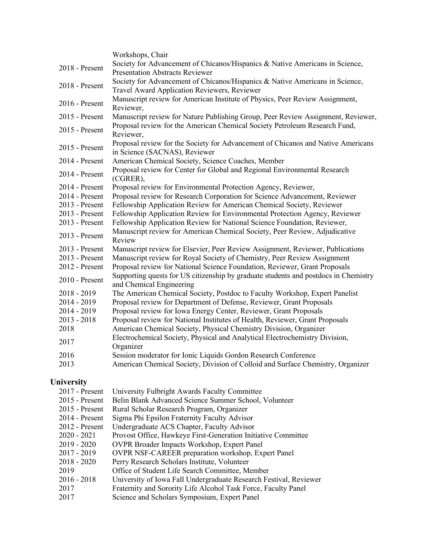|                | Workshops, Chair                                                                                                             |
|----------------|------------------------------------------------------------------------------------------------------------------------------|
| 2018 - Present | Society for Advancement of Chicanos/Hispanics & Native Americans in Science,<br><b>Presentation Abstracts Reviewer</b>       |
| 2018 - Present | Society for Advancement of Chicanos/Hispanics & Native Americans in Science,<br>Travel Award Application Reviewers, Reviewer |
| 2016 - Present | Manuscript review for American Institute of Physics, Peer Review Assignment,<br>Reviewer,                                    |
| 2015 - Present | Manuscript review for Nature Publishing Group, Peer Review Assignment, Reviewer,                                             |
| 2015 - Present | Proposal review for the American Chemical Society Petroleum Research Fund,<br>Reviewer,                                      |
| 2015 - Present | Proposal review for the Society for Advancement of Chicanos and Native Americans<br>in Science (SACNAS), Reviewer            |
| 2014 - Present | American Chemical Society, Science Coaches, Member                                                                           |
| 2014 - Present | Proposal review for Center for Global and Regional Environmental Research<br>(CGRER),                                        |
| 2014 - Present | Proposal review for Environmental Protection Agency, Reviewer,                                                               |
| 2014 - Present | Proposal review for Research Corporation for Science Advancement, Reviewer                                                   |
| 2013 - Present | Fellowship Application Review for American Chemical Society, Reviewer                                                        |
| 2013 - Present | Fellowship Application Review for Environmental Protection Agency, Reviewer                                                  |
| 2013 - Present | Fellowship Application Review for National Science Foundation, Reviewer,                                                     |
| 2013 - Present | Manuscript review for American Chemical Society, Peer Review, Adjudicative<br>Review                                         |
| 2013 - Present | Manuscript review for Elsevier, Peer Review Assignment, Reviewer, Publications                                               |
| 2013 - Present | Manuscript review for Royal Society of Chemistry, Peer Review Assignment                                                     |
| 2012 - Present | Proposal review for National Science Foundation, Reviewer, Grant Proposals                                                   |
| 2010 - Present | Supporting quests for US citizenship by graduate students and postdocs in Chemistry<br>and Chemical Engineering              |
| $2018 - 2019$  | The American Chemical Society, Postdoc to Faculty Workshop, Expert Panelist                                                  |
| 2014 - 2019    | Proposal review for Department of Defense, Reviewer, Grant Proposals                                                         |
| 2014 - 2019    | Proposal review for Iowa Energy Center, Reviewer, Grant Proposals                                                            |
| $2013 - 2018$  | Proposal review for National Institutes of Health, Reviewer, Grant Proposals                                                 |
| 2018           | American Chemical Society, Physical Chemistry Division, Organizer                                                            |
| 2017           | Electrochemical Society, Physical and Analytical Electrochemistry Division,<br>Organizer                                     |
| 2016           | Session moderator for Ionic Liquids Gordon Research Conference                                                               |
| 2013           | American Chemical Society, Division of Colloid and Surface Chemistry, Organizer                                              |
|                |                                                                                                                              |

# **University**

| $2017$ - Present | University Fulbright Awards Faculty Committee                     |
|------------------|-------------------------------------------------------------------|
| $2015$ - Present | Belin Blank Advanced Science Summer School, Volunteer             |
| $2015$ - Present | Rural Scholar Research Program, Organizer                         |
| $2014$ - Present | Sigma Phi Epsilon Fraternity Faculty Advisor                      |
| $2012$ - Present | Undergraduate ACS Chapter, Faculty Advisor                        |
| $2020 - 2021$    | Provost Office, Hawkeye First-Generation Initiative Committee     |
| $2019 - 2020$    | <b>OVPR Broader Impacts Workshop, Expert Panel</b>                |
| $2017 - 2019$    | <b>OVPR NSF-CAREER preparation workshop, Expert Panel</b>         |
| $2018 - 2020$    | Perry Research Scholars Institute, Volunteer                      |
| 2019             | Office of Student Life Search Committee, Member                   |
| $2016 - 2018$    | University of Iowa Fall Undergraduate Research Festival, Reviewer |
| 2017             | Fraternity and Sorority Life Alcohol Task Force, Faculty Panel    |
| 2017             | Science and Scholars Symposium, Expert Panel                      |